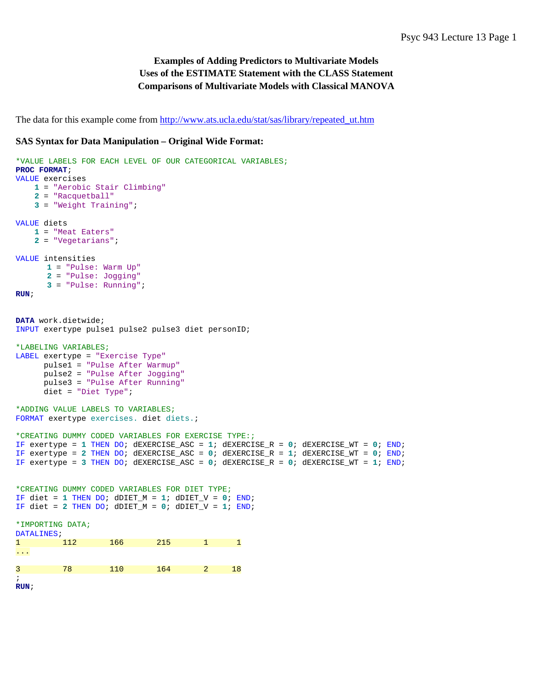# **Examples of Adding Predictors to Multivariate Models Uses of the ESTIMATE Statement with the CLASS Statement Comparisons of Multivariate Models with Classical MANOVA**

The data for this example come from [http://www.ats.ucla.edu/stat/sas/library/repeated\\_ut.htm](http://www.ats.ucla.edu/stat/sas/library/repeated_ut.htm)

#### **SAS Syntax for Data Manipulation – Original Wide Format:**

```
*VALUE LABELS FOR EACH LEVEL OF OUR CATEGORICAL VARIABLES;
PROC FORMAT;
VALUE exercises
    1 = "Aerobic Stair Climbing"
    2 = "Racquetball"
    3 = "Weight Training";
VALUE diets
    1 = "Meat Eaters"
     2 = "Vegetarians";
VALUE intensities
      1 = "Pulse: Warm Up"
      2 = "Pulse: Jogging"
      3 = "Pulse: Running";
RUN;
DATA work.dietwide;
INPUT exertype pulse1 pulse2 pulse3 diet personID;
*LABELING VARIABLES;
LABEL exertype = "Exercise Type"
      pulse1 = "Pulse After Warmup"
      pulse2 = "Pulse After Jogging"
      pulse3 = "Pulse After Running"
      diet = "Diet Type";
*ADDING VALUE LABELS TO VARIABLES;
FORMAT exertype exercises. diet diets.;
*CREATING DUMMY CODED VARIABLES FOR EXERCISE TYPE:;
IF exertype = 1 THEN DO; dEXERCISE_ASC = 1; dEXERCISE_R = 0; dEXERCISE_WT = 0; END;
IF exertype = 2 THEN DO; dEXERCISE_ASC = 0; dEXERCISE_R = 1; dEXERCISE_WT = 0; END;
IF exertype = 3 THEN DO; dEXERCISE_ASC = 0; dEXERCISE_R = 0; dEXERCISE_WT = 1; END;
*CREATING DUMMY CODED VARIABLES FOR DIET TYPE;
IF diet = 1 THEN DO; dDIET_M = 1; dDIET_V = 0; END;
IF diet = 2 THEN DO; dDIET_M = 0; dDIET_V = 1; END;
*IMPORTING DATA;
DATALINES;
              166 215 1 1
...
3 78 110 164 2 18
;
RUN;
```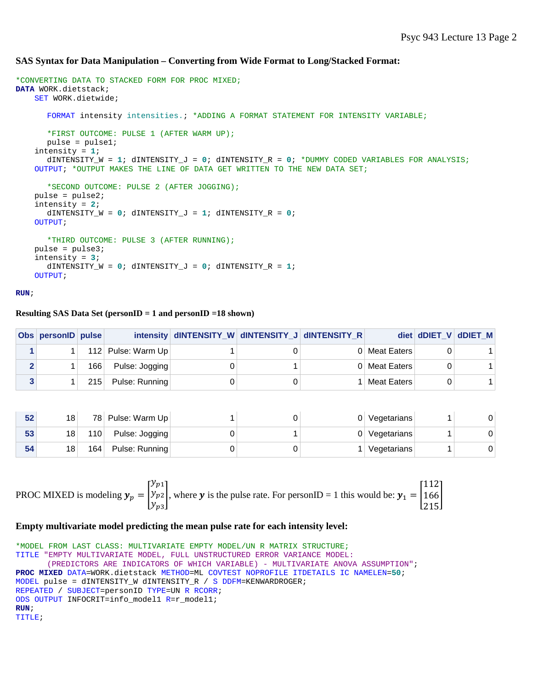### **SAS Syntax for Data Manipulation – Converting from Wide Format to Long/Stacked Format:**

```
*CONVERTING DATA TO STACKED FORM FOR PROC MIXED;
DATA WORK.dietstack;
     SET WORK.dietwide;
      FORMAT intensity intensities.; *ADDING A FORMAT STATEMENT FOR INTENSITY VARIABLE;
      *FIRST OUTCOME: PULSE 1 (AFTER WARM UP);
      pulse = pulse1;
     intensity = 1; 
      dINTENSITY_W = 1; dINTENSITY_J = 0; dINTENSITY_R = 0; *DUMMY CODED VARIABLES FOR ANALYSIS;
     OUTPUT; *OUTPUT MAKES THE LINE OF DATA GET WRITTEN TO THE NEW DATA SET;
      *SECOND OUTCOME: PULSE 2 (AFTER JOGGING);
     pulse = pulse2;
     intensity = 2; 
      dINTENSITY_W = 0; dINTENSITY_J = 1; dINTENSITY_R = 0; 
     OUTPUT;
      *THIRD OUTCOME: PULSE 3 (AFTER RUNNING);
     pulse = pulse3;
     intensity = 3; 
      dINTENSITY W = 0; dINTENSITY J = 0; dINTENSITY R = 1;
     OUTPUT;
```

```
RUN;
```
#### **Resulting SAS Data Set (personID = 1 and personID =18 shown)**

|   | Obs personID pulse |     |                    | intensity dINTENSITY_W dINTENSITY_J dINTENSITY_R |  |               | diet dDIET V dDIET M |
|---|--------------------|-----|--------------------|--------------------------------------------------|--|---------------|----------------------|
|   |                    |     | 112 Pulse: Warm Up |                                                  |  | 0 Meat Eaters |                      |
|   |                    | 166 | Pulse: Jogging     |                                                  |  | 0 Meat Eaters |                      |
| 3 |                    |     | 215 Pulse: Running |                                                  |  | Meat Eaters   |                      |

| 52 | 18 |     | 78 Pulse: Warm Up |  | Vegetarians |  |
|----|----|-----|-------------------|--|-------------|--|
| 53 | 18 | 110 | Pulse: Jogging    |  | Vegetarians |  |
| 54 | 18 | 164 | Pulse: Running    |  | Vegetarians |  |

**PROC MIXED** is modeling 
$$
\mathbf{y}_p = \begin{bmatrix} y_{p1} \\ y_{p2} \\ y_{p3} \end{bmatrix}
$$
, where **y** is the pulse rate. For personID = 1 this would be:  $\mathbf{y}_1 = \begin{bmatrix} 112 \\ 166 \\ 215 \end{bmatrix}$ 

#### **Empty multivariate model predicting the mean pulse rate for each intensity level:**

```
*MODEL FROM LAST CLASS: MULTIVARIATE EMPTY MODEL/UN R MATRIX STRUCTURE;
TITLE "EMPTY MULTIVARIATE MODEL, FULL UNSTRUCTURED ERROR VARIANCE MODEL: 
       (PREDICTORS ARE INDICATORS OF WHICH VARIABLE) - MULTIVARIATE ANOVA ASSUMPTION";
PROC MIXED DATA=WORK.dietstack METHOD=ML COVTEST NOPROFILE ITDETAILS IC NAMELEN=50;
MODEL pulse = dINTENSITY W dINTENSITY R / S DDFM=KENWARDROGER;
REPEATED / SUBJECT=personID TYPE=UN R RCORR;
ODS OUTPUT INFOCRIT=info_model1 R=r_model1;
RUN;
TITLE;
```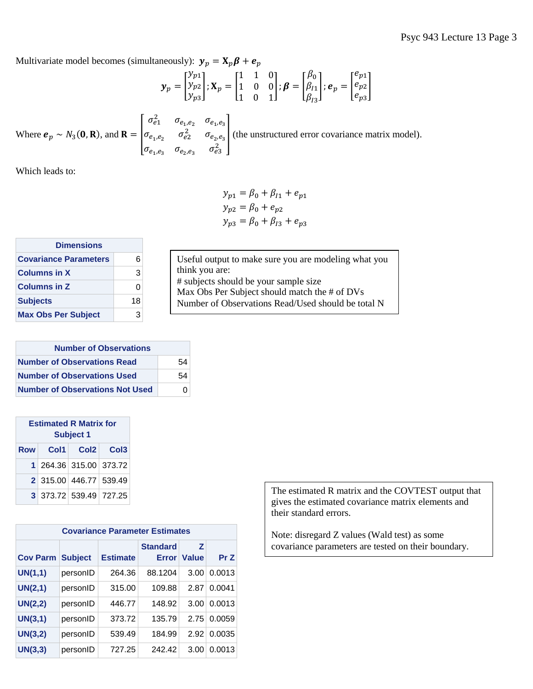Multivariate model becomes (simultaneously):  $y_p = X_p \beta + e_p$ 

$$
\mathbf{y}_p = \begin{bmatrix} y_{p1} \\ y_{p2} \\ y_{p3} \end{bmatrix}; \mathbf{X}_p = \begin{bmatrix} 1 & 1 & 0 \\ 1 & 0 & 0 \\ 1 & 0 & 1 \end{bmatrix}; \boldsymbol{\beta} = \begin{bmatrix} \beta_0 \\ \beta_{I1} \\ \beta_{I3} \end{bmatrix}; \boldsymbol{e}_p = \begin{bmatrix} e_{p1} \\ e_{p2} \\ e_{p3} \end{bmatrix}
$$

Where  $e_p \sim N_3(0,R)$ , and  $R = \vert$  $\sigma_{e_1}^2$   $\sigma_{e_1,e_2}$   $\sigma_{e_1,e_3}$  $\sigma_{e_1,e_2}$   $\sigma_{e_2}^2$   $\sigma_{e_2,e_3}$  $\sigma_{e_1,e_3}$   $\sigma_{e_2,e_3}$   $\sigma_{e_3}^2$ (the unstructured error covariance matrix model).

Which leads to:

 $y_{p1} = \beta_0 + \beta_{11} + e_{p1}$  $y_{p2} = \beta_0 + e_{p2}$  $y_{p3} = \beta_0 + \beta_{I3} + e_{p3}$ 

| <b>Dimensions</b>            |    |  |  |  |
|------------------------------|----|--|--|--|
| <b>Covariance Parameters</b> | 6  |  |  |  |
| <b>Columns in X</b>          | З  |  |  |  |
| <b>Columns in Z</b>          | O  |  |  |  |
| <b>Subjects</b>              | 18 |  |  |  |
| <b>Max Obs Per Subject</b>   |    |  |  |  |

| <b>Number of Observations</b>          |    |  |  |  |
|----------------------------------------|----|--|--|--|
| <b>Number of Observations Read</b>     | 54 |  |  |  |
| <b>Number of Observations Used</b>     | 54 |  |  |  |
| <b>Number of Observations Not Used</b> | O  |  |  |  |

| <b>Estimated R Matrix for</b><br><b>Subject 1</b> |                        |  |  |  |  |  |  |  |
|---------------------------------------------------|------------------------|--|--|--|--|--|--|--|
|                                                   | Row Col1 Col2 Col3     |  |  |  |  |  |  |  |
|                                                   | 1 264.36 315.00 373.72 |  |  |  |  |  |  |  |
|                                                   | 2 315.00 446.77 539.49 |  |  |  |  |  |  |  |
|                                                   | 3 373.72 539.49 727.25 |  |  |  |  |  |  |  |

| <b>Covariance Parameter Estimates</b> |                |                 |                          |                   |        |  |  |  |  |
|---------------------------------------|----------------|-----------------|--------------------------|-------------------|--------|--|--|--|--|
| <b>Cov Parm</b>                       | <b>Subject</b> | <b>Estimate</b> | <b>Standard</b><br>Error | Z<br><b>Value</b> | Pr Z   |  |  |  |  |
| UN(1,1)                               | personID       | 264.36          | 88.1204                  | 3.00              | 0.0013 |  |  |  |  |
| UN(2,1)                               | personID       | 315.00          | 109.88                   | 2.87              | 0.0041 |  |  |  |  |
| UN(2,2)                               | personID       | 446.77          | 148.92                   | 3.00              | 0.0013 |  |  |  |  |
| UN(3,1)                               | personID       | 373.72          | 135.79                   | 2.75              | 0.0059 |  |  |  |  |
| UN(3,2)                               | personID       | 539.49          | 184.99                   | 2.92              | 0.0035 |  |  |  |  |
| UN(3,3)                               | personID       | 727.25          | 242.42                   | 3.00              | 0.0013 |  |  |  |  |

The estimated R matrix and the COVTEST output that gives the estimated covariance matrix elements and their standard errors.

Note: disregard Z values (Wald test) as some covariance parameters are tested on their boundary.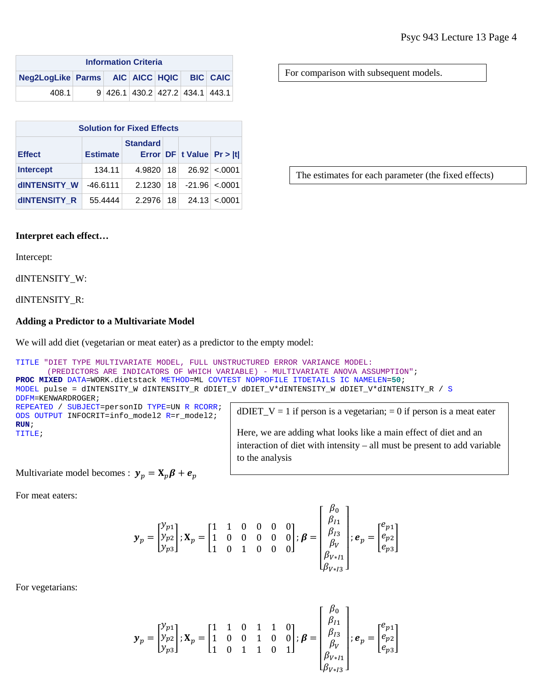| <b>Information Criteria</b>              |  |  |  |  |                                 |  |  |  |
|------------------------------------------|--|--|--|--|---------------------------------|--|--|--|
| Neg2LogLike Parms AIC AICC HQIC BIC CAIC |  |  |  |  |                                 |  |  |  |
| 408.1                                    |  |  |  |  | 9 426.1 430.2 427.2 434.1 443.1 |  |  |  |

| <b>Solution for Fixed Effects</b> |                 |                 |      |                          |                     |  |  |  |  |
|-----------------------------------|-----------------|-----------------|------|--------------------------|---------------------|--|--|--|--|
| <b>Effect</b>                     | <b>Estimate</b> | <b>Standard</b> |      | Error DF t Value Pr >  t |                     |  |  |  |  |
| <b>Intercept</b>                  | 134.11          | 4.9820 18       |      |                          | 26.92 < 0001        |  |  |  |  |
| <b>dINTENSITY W</b>               | $-46.6111$      | 2.1230          |      | $18$ $-21.96$ < 0001     |                     |  |  |  |  |
| <b>dINTENSITY R</b>               | 55.4444         | 2.2976          | 18 I |                          | $24.13 \times 0001$ |  |  |  |  |

For comparison with subsequent models.

The estimates for each parameter (the fixed effects)

### **Interpret each effect…**

Intercept:

dINTENSITY\_W:

dINTENSITY\_R:

### **Adding a Predictor to a Multivariate Model**

We will add diet (vegetarian or meat eater) as a predictor to the empty model:

```
TITLE "DIET TYPE MULTIVARIATE MODEL, FULL UNSTRUCTURED ERROR VARIANCE MODEL: 
       (PREDICTORS ARE INDICATORS OF WHICH VARIABLE) - MULTIVARIATE ANOVA ASSUMPTION";
PROC MIXED DATA=WORK.dietstack METHOD=ML COVTEST NOPROFILE ITDETAILS IC NAMELEN=50;
MODEL pulse = dINTENSITY_W dINTENSITY_R dDIET_V dDIET_V*dINTENSITY_W dDIET_V*dINTENSITY_R / S
DDFM=KENWARDROGER;
REPEATED / SUBJECT=personID TYPE=UN R RCORR;
ODS OUTPUT INFOCRIT=info_model2 R=r_model2;
RUN;
TITLE;
                                                   dDIET_V = 1 if person is a vegetarian; = 0 if person is a meat eater
                                                   Here, we are adding what looks like a main effect of diet and an 
                                                   interaction of diet with intensity – all must be present to add variable
```
Multivariate model becomes :  $y_p = X_p \beta + e_p$ 

For meat eaters:

$$
\mathbf{y}_p = \begin{bmatrix} y_{p1} \\ y_{p2} \\ y_{p3} \end{bmatrix}; \mathbf{X}_p = \begin{bmatrix} 1 & 1 & 0 & 0 & 0 & 0 \\ 1 & 0 & 0 & 0 & 0 & 0 \\ 1 & 0 & 1 & 0 & 0 & 0 \end{bmatrix}; \boldsymbol{\beta} = \begin{bmatrix} \beta_0 \\ \beta_{I1} \\ \beta_{I2} \\ \beta_V \\ \beta_{V\times I1} \\ \beta_{V\times I2} \end{bmatrix}; \boldsymbol{e}_p = \begin{bmatrix} e_{p1} \\ e_{p2} \\ e_{p3} \end{bmatrix}
$$

to the analysis

For vegetarians:

$$
\mathbf{y}_p = \begin{bmatrix} y_{p1} \\ y_{p2} \\ y_{p3} \end{bmatrix}; \mathbf{X}_p = \begin{bmatrix} 1 & 1 & 0 & 1 & 1 & 0 \\ 1 & 0 & 0 & 1 & 0 & 0 \\ 1 & 0 & 1 & 1 & 0 & 1 \end{bmatrix}; \boldsymbol{\beta} = \begin{bmatrix} \beta_0 \\ \beta_{I1} \\ \beta_{I2} \\ \beta_V \\ \beta_{V*I1} \\ \beta_{V*I3} \end{bmatrix}; \boldsymbol{e}_p = \begin{bmatrix} e_{p1} \\ e_{p2} \\ e_{p3} \end{bmatrix}
$$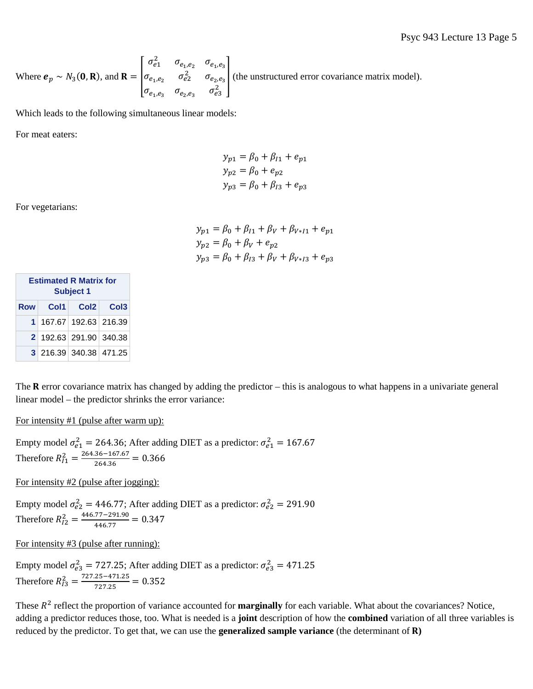Where  $e_p \sim N_3(\mathbf{0}, \mathbf{R})$ , and  $\mathbf{R} = \begin{bmatrix} 1 \\ 1 \end{bmatrix}$  $\sigma_{e_1}^2$   $\sigma_{e_1,e_2}$   $\sigma_{e_1,e_3}$  $\sigma_{e_1,e_2}$   $\sigma_{e_2}^2$   $\sigma_{e_2,e_3}$  $\sigma_{e_1,e_3}$   $\sigma_{e_2,e_3}$   $\sigma_{e_3}^2$ (the unstructured error covariance matrix model).

Which leads to the following simultaneous linear models:

For meat eaters:

$$
y_{p1} = \beta_0 + \beta_{l1} + e_{p1}
$$
  
\n
$$
y_{p2} = \beta_0 + e_{p2}
$$
  
\n
$$
y_{p3} = \beta_0 + \beta_{l3} + e_{p3}
$$

For vegetarians:

$$
y_{p1} = \beta_0 + \beta_{l1} + \beta_V + \beta_{V \ast l1} + e_{p1}
$$
  
\n
$$
y_{p2} = \beta_0 + \beta_V + e_{p2}
$$
  
\n
$$
y_{p3} = \beta_0 + \beta_{l3} + \beta_V + \beta_{V \ast l3} + e_{p3}
$$

| <b>Estimated R Matrix for</b><br><b>Subject 1</b> |                        |  |  |  |  |  |  |  |
|---------------------------------------------------|------------------------|--|--|--|--|--|--|--|
| <b>Row</b>                                        | Col1 Col2 Col3         |  |  |  |  |  |  |  |
|                                                   | 1 167.67 192.63 216.39 |  |  |  |  |  |  |  |
|                                                   | 2 192.63 291.90 340.38 |  |  |  |  |  |  |  |
|                                                   | 3 216.39 340.38 471.25 |  |  |  |  |  |  |  |

The  $R$  error covariance matrix has changed by adding the predictor – this is analogous to what happens in a univariate general linear model – the predictor shrinks the error variance:

For intensity #1 (pulse after warm up):

Empty model  $\sigma_{e1}^2 = 264.36$ ; After adding DIET as a predictor:  $\sigma_{e1}^2 = 167.67$ Therefore  $R_{I1}^2 = \frac{264.36 - 167.67}{264.36} = 0.366$ 

For intensity #2 (pulse after jogging):

Empty model  $\sigma_{e2}^2 = 446.77$ ; After adding DIET as a predictor:  $\sigma_{e2}^2 = 291.90$ Therefore  $R_{I2}^2 = \frac{446.77 - 291.90}{446.77} = 0.347$ 

For intensity #3 (pulse after running):

Empty model  $\sigma_{e3}^2 = 727.25$ ; After adding DIET as a predictor:  $\sigma_{e3}^2 = 471.25$ Therefore  $R_{I3}^2 = \frac{727.25 - 471.25}{727.25} = 0.352$ 

These  $R^2$  reflect the proportion of variance accounted for **marginally** for each variable. What about the covariances? Notice, adding a predictor reduces those, too. What is needed is a **joint** description of how the **combined** variation of all three variables is reduced by the predictor. To get that, we can use the **generalized sample variance** (the determinant of  $\bf{R}$ )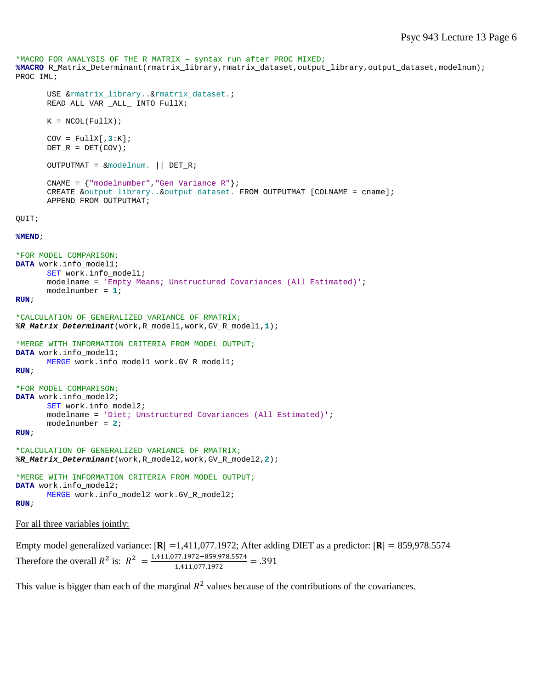```
*MACRO FOR ANALYSIS OF THE R MATRIX – syntax run after PROC MIXED;
%MACRO R_Matrix_Determinant(rmatrix_library,rmatrix_dataset,output_library,output_dataset,modelnum);
PROC IML;
      USE &rmatrix_library..&rmatrix_dataset.;
      READ ALL VAR ALL INTO FullX;
      K = NCOL(FullX);COV = FullX[, 3:K];DET_R = DET(COV);OUTPUTMAT = &modelnum. || DET_R;
      CNAME = {"modelnumber","Gen Variance R"};
      CREATE &output_library..&output_dataset. FROM OUTPUTMAT [COLNAME = cname];
      APPEND FROM OUTPUTMAT;
QUIT;
%MEND;
*FOR MODEL COMPARISON;
DATA work.info_model1;
      SET work.info_model1;
      modelname = 'Empty Means; Unstructured Covariances (All Estimated)';
      modelnumber = 1;
RUN;
*CALCULATION OF GENERALIZED VARIANCE OF RMATRIX;
%R_Matrix_Determinant(work,R_model1,work,GV_R_model1,1);
*MERGE WITH INFORMATION CRITERIA FROM MODEL OUTPUT;
DATA work.info_model1;
      MERGE work.info_model1 work.GV_R_model1;
RUN;
*FOR MODEL COMPARISON;
DATA work.info_model2;
      SET work.info_model2;
      modelname = 'Diet; Unstructured Covariances (All Estimated)';
      modelnumber = 2;
RUN;
*CALCULATION OF GENERALIZED VARIANCE OF RMATRIX;
%R_Matrix_Determinant(work,R_model2,work,GV_R_model2,2);
*MERGE WITH INFORMATION CRITERIA FROM MODEL OUTPUT;
DATA work.info_model2;
      MERGE work.info_model2 work.GV_R_model2;
RUN;
```
For all three variables jointly:

Empty model generalized variance:  $|\mathbf{R}| = 1,411,077.1972$ ; After adding DIET as a predictor:  $|\mathbf{R}| = 859,978.5574$ Therefore the overall  $R^2$  is:  $R^2 = \frac{1,411,077.1972 - 859,978.5574}{1,411,077.1972} = .391$ 

This value is bigger than each of the marginal  $R^2$  values because of the contributions of the covariances.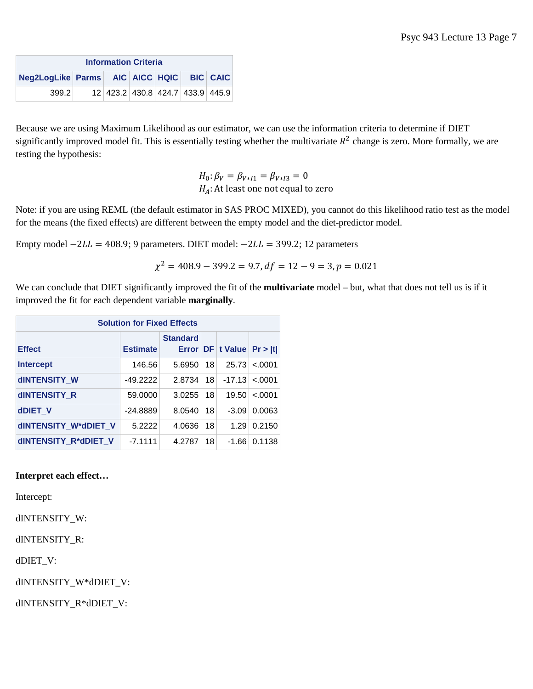| <b>Information Criteria</b>              |  |                                  |  |  |  |  |  |
|------------------------------------------|--|----------------------------------|--|--|--|--|--|
| Neg2LogLike Parms AIC AICC HQIC BIC CAIC |  |                                  |  |  |  |  |  |
| 399.2                                    |  | 12 423.2 430.8 424.7 433.9 445.9 |  |  |  |  |  |

Because we are using Maximum Likelihood as our estimator, we can use the information criteria to determine if DIET significantly improved model fit. This is essentially testing whether the multivariate  $R^2$  change is zero. More formally, we are testing the hypothesis:

> $H_0: \beta_V = \beta_{V \ast I1} = \beta_{V \ast I3} = 0$  $H_A$ : At least one not equal to zero

Note: if you are using REML (the default estimator in SAS PROC MIXED), you cannot do this likelihood ratio test as the model for the means (the fixed effects) are different between the empty model and the diet-predictor model.

Empty model  $-2LL = 408.9$ ; 9 parameters. DIET model:  $-2LL = 399.2$ ; 12 parameters

$$
\chi^2 = 408.9 - 399.2 = 9.7, df = 12 - 9 = 3, p = 0.021
$$

We can conclude that DIET significantly improved the fit of the **multivariate** model – but, what that does not tell us is if it improved the fit for each dependent variable **marginally**.

| <b>Solution for Fixed Effects</b> |                 |                 |    |                               |          |  |  |  |
|-----------------------------------|-----------------|-----------------|----|-------------------------------|----------|--|--|--|
| <b>Effect</b>                     | <b>Estimate</b> | <b>Standard</b> |    | Error $DF$ t Value $Pr >  t $ |          |  |  |  |
| <b>Intercept</b>                  | 146.56          | 5.6950          | 18 | 25.73                         | $-.0001$ |  |  |  |
| <b>dINTENSITY W</b>               | $-49.2222$      | 2.8734          | 18 | $-17.13$                      | $-.0001$ |  |  |  |
| <b>dINTENSITY R</b>               | 59.0000         | 3.0255          | 18 | 19.50                         | $-.0001$ |  |  |  |
| dDIET V                           | $-24.8889$      | 8.0540          | 18 | $-3.09$                       | 0.0063   |  |  |  |
| dINTENSITY_W*dDIET_V              | 5.2222          | 4.0636          | 18 | 1.29                          | 0.2150   |  |  |  |
| dINTENSITY_R*dDIET_V              | $-7.1111$       | 4.2787          | 18 | $-1.66$                       | 0.1138   |  |  |  |

### **Interpret each effect…**

Intercept:

dINTENSITY\_W:

dINTENSITY\_R:

dDIET\_V:

dINTENSITY\_W\*dDIET\_V:

dINTENSITY\_R\*dDIET\_V: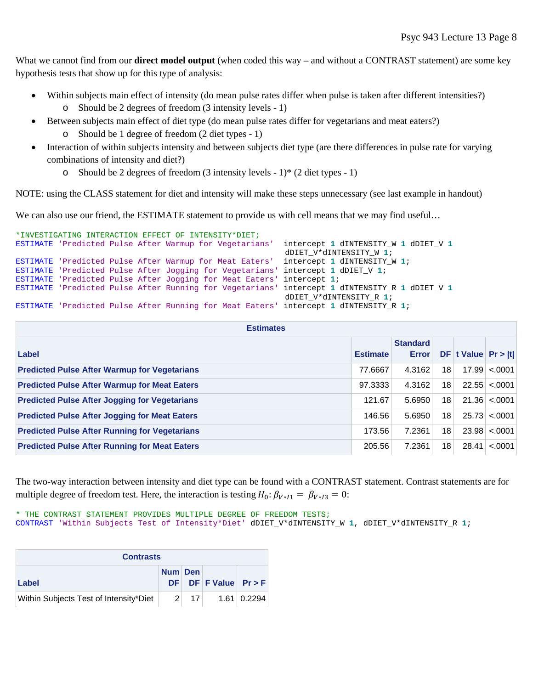What we cannot find from our **direct model output** (when coded this way – and without a CONTRAST statement) are some key hypothesis tests that show up for this type of analysis:

- Within subjects main effect of intensity (do mean pulse rates differ when pulse is taken after different intensities?)
	- o Should be 2 degrees of freedom (3 intensity levels 1)
- Between subjects main effect of diet type (do mean pulse rates differ for vegetarians and meat eaters?) o Should be 1 degree of freedom (2 diet types - 1)
- Interaction of within subjects intensity and between subjects diet type (are there differences in pulse rate for varying combinations of intensity and diet?)
	- o Should be 2 degrees of freedom  $(3 \text{ intensity levels} 1)$ \*  $(2 \text{ diettvpes} 1)$ </u>

NOTE: using the CLASS statement for diet and intensity will make these steps unnecessary (see last example in handout)

We can also use our friend, the ESTIMATE statement to provide us with cell means that we may find useful...

```
*INVESTIGATING INTERACTION EFFECT OF INTENSITY*DIET;
ESTIMATE 'Predicted Pulse After Warmup for Vegetarians' intercept 1 dINTENSITY_W 1 dDIET_V 1
                                                          dDIET_V*dINTENSITY_W 1;
ESTIMATE 'Predicted Pulse After Warmup for Meat Eaters' intercept 1 dINTENSITY_W 1;
ESTIMATE 'Predicted Pulse After Jogging for Vegetarians' intercept 1 dDIET_V 1;
ESTIMATE 'Predicted Pulse After Jogging for Meat Eaters' intercept 1;
ESTIMATE 'Predicted Pulse After Running for Vegetarians' intercept 1 dINTENSITY_R 1 dDIET_V 1
                                                          dDIET_V*dINTENSITY_R 1;
ESTIMATE 'Predicted Pulse After Running for Meat Eaters' intercept 1 dINTENSITY_R 1;
```

| <b>Estimates</b>                                     |                 |                                 |    |                         |                     |  |
|------------------------------------------------------|-----------------|---------------------------------|----|-------------------------|---------------------|--|
| Label                                                | <b>Estimate</b> | <b>Standard</b><br><b>Error</b> |    | $DF$ t Value $Pr >  t $ |                     |  |
| <b>Predicted Pulse After Warmup for Vegetarians</b>  | 77.6667         | 4.3162                          | 18 |                         | 17.99 < 0001        |  |
| <b>Predicted Pulse After Warmup for Meat Eaters</b>  | 97.3333         | 4.3162                          | 18 |                         | 22.55 < .0001       |  |
| <b>Predicted Pulse After Jogging for Vegetarians</b> | 121.67          | 5.6950                          | 18 |                         | $21.36 \times 0001$ |  |
| <b>Predicted Pulse After Jogging for Meat Eaters</b> | 146.56          | 5.6950                          | 18 |                         | $25.73 \le 0.001$   |  |
| <b>Predicted Pulse After Running for Vegetarians</b> | 173.56          | 7.2361                          | 18 |                         | $23.98 \le 0.001$   |  |
| <b>Predicted Pulse After Running for Meat Eaters</b> | 205.56          | 7.2361                          | 18 |                         | $28.41 \le 0001$    |  |

The two-way interaction between intensity and diet type can be found with a CONTRAST statement. Contrast statements are for multiple degree of freedom test. Here, the interaction is testing  $H_0: \beta_{V*11} = \beta_{V*13} = 0$ :

\* THE CONTRAST STATEMENT PROVIDES MULTIPLE DEGREE OF FREEDOM TESTS; CONTRAST 'Within Subjects Test of Intensity\*Diet' dDIET\_V\*dINTENSITY\_W **1**, dDIET\_V\*dINTENSITY\_R **1**;

| <b>Contrasts</b>                       |               |                 |                        |             |  |  |
|----------------------------------------|---------------|-----------------|------------------------|-------------|--|--|
| Label                                  | Num Den       |                 | $DF$ DF F Value Pr > F |             |  |  |
| Within Subjects Test of Intensity*Diet | $\mathcal{P}$ | 17 <sup>1</sup> |                        | 1.61 0.2294 |  |  |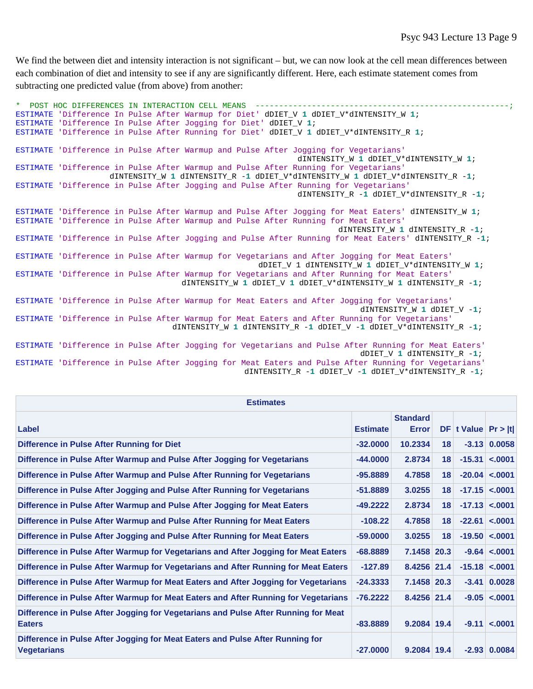We find the between diet and intensity interaction is not significant – but, we can now look at the cell mean differences between each combination of diet and intensity to see if any are significantly different. Here, each estimate statement comes from subtracting one predicted value (from above) from another:

\* POST HOC DIFFERENCES IN INTERACTION CELL MEANS ESTIMATE 'Difference In Pulse After Warmup for Diet' dDIET\_V **1** dDIET\_V\*dINTENSITY\_W **1**; ESTIMATE 'Difference In Pulse After Jogging for Diet' dDIET\_V **1**; ESTIMATE 'Difference in Pulse After Running for Diet' dDIET\_V **1** dDIET\_V\*dINTENSITY\_R **1**; ESTIMATE 'Difference in Pulse After Warmup and Pulse After Jogging for Vegetarians' dINTENSITY\_W **1** dDIET\_V\*dINTENSITY\_W **1**; ESTIMATE 'Difference in Pulse After Warmup and Pulse After Running for Vegetarians' dINTENSITY\_W **1** dINTENSITY\_R -**1** dDIET\_V\*dINTENSITY\_W **1** dDIET\_V\*dINTENSITY\_R -**1**; ESTIMATE 'Difference in Pulse After Jogging and Pulse After Running for Vegetarians' dINTENSITY R -1 dDIET V\*dINTENSITY R -1; ESTIMATE 'Difference in Pulse After Warmup and Pulse After Jogging for Meat Eaters' dINTENSITY\_W **1**; ESTIMATE 'Difference in Pulse After Warmup and Pulse After Running for Meat Eaters' dINTENSITY\_W **1** dINTENSITY\_R -**1**; ESTIMATE 'Difference in Pulse After Jogging and Pulse After Running for Meat Eaters' dINTENSITY\_R -**1**; ESTIMATE 'Difference in Pulse After Warmup for Vegetarians and After Jogging for Meat Eaters' dDIET\_V 1 dINTENSITY\_W **1** dDIET\_V\*dINTENSITY\_W **1**; ESTIMATE 'Difference in Pulse After Warmup for Vegetarians and After Running for Meat Eaters' dINTENSITY\_W **1** dDIET\_V **1** dDIET\_V\*dINTENSITY\_W **1** dINTENSITY\_R -**1**; ESTIMATE 'Difference in Pulse After Warmup for Meat Eaters and After Jogging for Vegetarians' dINTENSITY\_W **1** dDIET\_V -**1**; ESTIMATE 'Difference in Pulse After Warmup for Meat Eaters and After Running for Vegetarians' dINTENSITY\_W **1** dINTENSITY\_R -**1** dDIET\_V -**1** dDIET\_V\*dINTENSITY\_R -**1**; ESTIMATE 'Difference in Pulse After Jogging for Vegetarians and Pulse After Running for Meat Eaters' dDIET\_V **1** dINTENSITY\_R -**1**; ESTIMATE 'Difference in Pulse After Jogging for Meat Eaters and Pulse After Running for Vegetarians'

dINTENSITY\_R -**1** dDIET\_V -**1** dDIET\_V\*dINTENSITY\_R -**1**;

| <b>Estimates</b>                                                                                    |                 |                                 |    |                         |                     |
|-----------------------------------------------------------------------------------------------------|-----------------|---------------------------------|----|-------------------------|---------------------|
| Label                                                                                               | <b>Estimate</b> | <b>Standard</b><br><b>Error</b> |    | $DF$ t Value $Pr >  t $ |                     |
| Difference in Pulse After Running for Diet                                                          | $-32,0000$      | 10.2334                         | 18 |                         | $-3.13$ 0.0058      |
| Difference in Pulse After Warmup and Pulse After Jogging for Vegetarians                            | $-44,0000$      | 2.8734                          | 18 |                         | $-15.31 \le 0001$   |
| Difference in Pulse After Warmup and Pulse After Running for Vegetarians                            | $-95,8889$      | 4.7858                          | 18 |                         | $-20.04$ <.0001     |
| Difference in Pulse After Jogging and Pulse After Running for Vegetarians                           | $-51,8889$      | 3.0255                          | 18 |                         | $-17.15$ < 0001     |
| Difference in Pulse After Warmup and Pulse After Jogging for Meat Eaters                            | $-49.2222$      | 2.8734                          | 18 |                         | $-17.13$ < 0001     |
| Difference in Pulse After Warmup and Pulse After Running for Meat Eaters                            | $-108.22$       | 4.7858                          | 18 |                         | $-22.61$ < 0001     |
| Difference in Pulse After Jogging and Pulse After Running for Meat Eaters                           | $-59,0000$      | 3.0255                          | 18 |                         | $-19.50 < .0001$    |
| Difference in Pulse After Warmup for Vegetarians and After Jogging for Meat Eaters                  | $-68,8889$      | 7.1458 20.3                     |    |                         | $-9.64 < 0001$      |
| Difference in Pulse After Warmup for Vegetarians and After Running for Meat Eaters                  | $-127.89$       | 8.4256 21.4                     |    |                         | $-15.18$ < 0001     |
| Difference in Pulse After Warmup for Meat Eaters and After Jogging for Vegetarians                  | $-24.3333$      | 7.1458 20.3                     |    |                         | $-3.41 \mid 0.0028$ |
| Difference in Pulse After Warmup for Meat Eaters and After Running for Vegetarians                  | $-76.2222$      | 8.4256 21.4                     |    |                         | $-9.05 < .0001$     |
| Difference in Pulse After Jogging for Vegetarians and Pulse After Running for Meat<br><b>Eaters</b> | $-83.8889$      | $9.2084$ 19.4                   |    |                         | $-9.11 < 0.001$     |
| Difference in Pulse After Jogging for Meat Eaters and Pulse After Running for<br>Vegetarians        | $-27.0000$      | 9.2084 19.4                     |    |                         | $-2.93$ 0.0084      |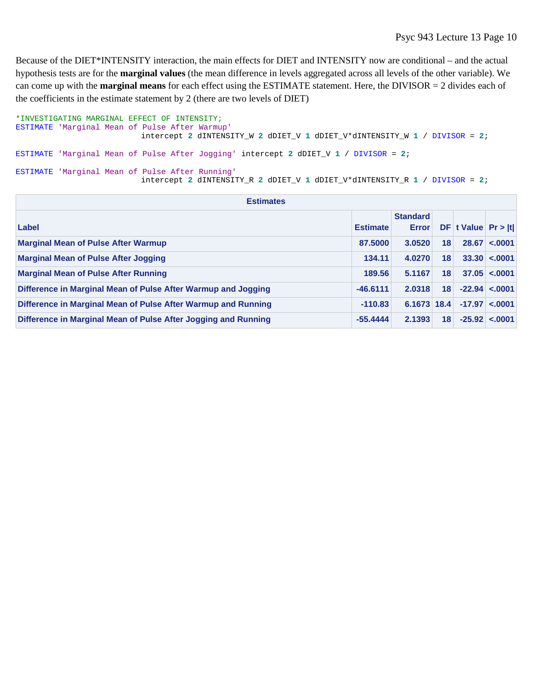Because of the DIET\*INTENSITY interaction, the main effects for DIET and INTENSITY now are conditional – and the actual hypothesis tests are for the **marginal values** (the mean difference in levels aggregated across all levels of the other variable). We can come up with the **marginal means** for each effect using the ESTIMATE statement. Here, the DIVISOR = 2 divides each of the coefficients in the estimate statement by 2 (there are two levels of DIET)

```
*INVESTIGATING MARGINAL EFFECT OF INTENSITY;
ESTIMATE 'Marginal Mean of Pulse After Warmup' 
                          intercept 2 dINTENSITY_W 2 dDIET_V 1 dDIET_V*dINTENSITY_W 1 / DIVISOR = 2; 
ESTIMATE 'Marginal Mean of Pulse After Jogging' intercept 2 dDIET_V 1 / DIVISOR = 2;
ESTIMATE 'Marginal Mean of Pulse After Running'
                           intercept 2 dINTENSITY_R 2 dDIET_V 1 dDIET_V*dINTENSITY_R 1 / DIVISOR = 2;
```

| <b>Estimates</b>                                               |                 |                                 |    |                         |                      |  |
|----------------------------------------------------------------|-----------------|---------------------------------|----|-------------------------|----------------------|--|
| Label                                                          | <b>Estimate</b> | <b>Standard</b><br><b>Error</b> |    | $DF$ t Value $Pr >  t $ |                      |  |
| <b>Marginal Mean of Pulse After Warmup</b>                     | 87,5000         | 3.0520                          | 18 |                         | 28.67 < 0001         |  |
| <b>Marginal Mean of Pulse After Jogging</b>                    | 134.11          | 4.0270                          | 18 |                         | $33.30 \le 0.0001$   |  |
| <b>Marginal Mean of Pulse After Running</b>                    | 189.56          | 5.1167                          | 18 |                         | 37.05 < .0001        |  |
| Difference in Marginal Mean of Pulse After Warmup and Jogging  | $-46.6111$      | 2.0318                          | 18 |                         | $-22.94 \times 0001$ |  |
| Difference in Marginal Mean of Pulse After Warmup and Running  | $-110.83$       | 6.1673 18.4                     |    |                         | $-17.97 < 0001$      |  |
| Difference in Marginal Mean of Pulse After Jogging and Running | $-55.4444$      | 2.1393                          | 18 |                         | $-25.92 \le 0.0001$  |  |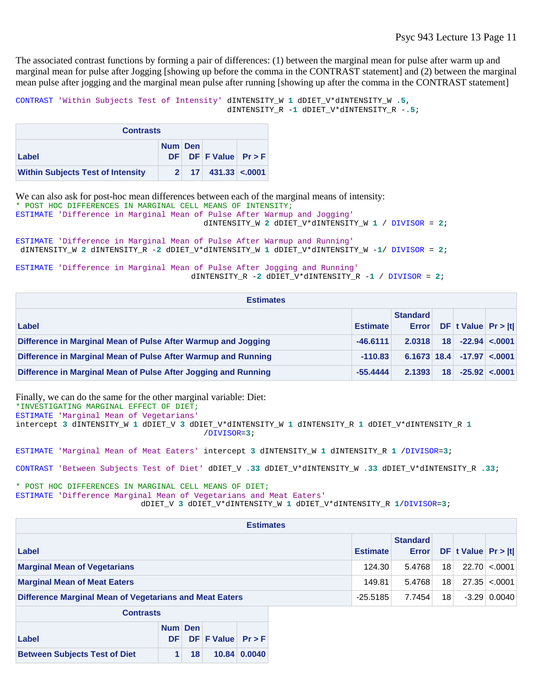The associated contrast functions by forming a pair of differences: (1) between the marginal mean for pulse after warm up and marginal mean for pulse after Jogging [showing up before the comma in the CONTRAST statement] and (2) between the marginal mean pulse after jogging and the marginal mean pulse after running [showing up after the comma in the CONTRAST statement]

```
CONTRAST 'Within Subjects Test of Intensity' dINTENSITY_W 1 dDIET_V*dINTENSITY_W .5, 
                                              dINTENSITY_R -1 dDIET_V*dINTENSITY_R -.5;
```

| <b>Contrasts</b>                         |  |  |                                    |  |  |  |
|------------------------------------------|--|--|------------------------------------|--|--|--|
| Num Den                                  |  |  |                                    |  |  |  |
| Label                                    |  |  | $DF$ DF F Value Pr > F             |  |  |  |
| <b>Within Subjects Test of Intensity</b> |  |  | $17 \mid 431.33 \mid < .0001 \mid$ |  |  |  |

We can also ask for post-hoc mean differences between each of the marginal means of intensity: \* POST HOC DIFFERENCES IN MARGINAL CELL MEANS OF INTENSITY; ESTIMATE 'Difference in Marginal Mean of Pulse After Warmup and Jogging' dINTENSITY\_W **2** dDIET\_V\*dINTENSITY\_W **1** / DIVISOR = **2**;

```
ESTIMATE 'Difference in Marginal Mean of Pulse After Warmup and Running' 
dINTENSITY_W 2 dINTENSITY_R -2 dDIET_V*dINTENSITY_W 1 dDIET_V*dINTENSITY_W -1/ DIVISOR = 2;
```
ESTIMATE 'Difference in Marginal Mean of Pulse After Jogging and Running' dINTENSITY\_R -**2** dDIET\_V\*dINTENSITY\_R -**1** / DIVISOR = **2**;

| <b>Estimates</b>                                               |                 |                                 |    |                         |                      |
|----------------------------------------------------------------|-----------------|---------------------------------|----|-------------------------|----------------------|
| Label                                                          | <b>Estimate</b> | <b>Standard</b><br><b>Error</b> |    | $DF$ t Value $Pr >  t $ |                      |
| Difference in Marginal Mean of Pulse After Warmup and Jogging  | $-46.6111$      | 2.0318                          | 18 |                         | $-22.94 \times 0001$ |
| Difference in Marginal Mean of Pulse After Warmup and Running  | $-110.83$       | $6.1673$ 18.4                   |    | $-17.97 < 0001$         |                      |
| Difference in Marginal Mean of Pulse After Jogging and Running | $-55.4444$      | 2.1393                          | 18 |                         | $-25.92 \le 0.0001$  |

Finally, we can do the same for the other marginal variable: Diet: \*INVESTIGATING MARGINAL EFFECT OF DIET; ESTIMATE 'Marginal Mean of Vegetarians' intercept **3** dINTENSITY\_W **1** dDIET\_V **3** dDIET\_V\*dINTENSITY\_W **1** dINTENSITY\_R **1** dDIET\_V\*dINTENSITY\_R **1** /DIVISOR=**3**;

ESTIMATE 'Marginal Mean of Meat Eaters' intercept **3** dINTENSITY\_W **1** dINTENSITY\_R **1** /DIVISOR=**3**;

CONTRAST 'Between Subjects Test of Diet' dDIET\_V **.33** dDIET\_V\*dINTENSITY\_W **.33** dDIET\_V\*dINTENSITY\_R **.33**;

\* POST HOC DIFFERENCES IN MARGINAL CELL MEANS OF DIET; ESTIMATE 'Difference Marginal Mean of Vegetarians and Meat Eaters' dDIET\_V **3** dDIET\_V\*dINTENSITY\_W **1** dDIET\_V\*dINTENSITY\_R **1**/DIVISOR=**3**;

| <b>Estimates</b>                                        |                 |        |                                 |    |                         |                    |  |
|---------------------------------------------------------|-----------------|--------|---------------------------------|----|-------------------------|--------------------|--|
| Label                                                   | <b>Estimate</b> |        | <b>Standard</b><br><b>Error</b> |    | $DF$ t Value $Pr >  t $ |                    |  |
| <b>Marginal Mean of Vegetarians</b>                     |                 | 124.30 | 5.4768                          | 18 |                         | $22.70 \le 0.0001$ |  |
| <b>Marginal Mean of Meat Eaters</b>                     |                 | 149.81 | 5.4768                          | 18 |                         | $27.35 \le 0.001$  |  |
| Difference Marginal Mean of Vegetarians and Meat Eaters | $-25.5185$      |        | 7.7454                          | 18 |                         | $-3.29$ 0.0040     |  |
| <b>Contrasts</b>                                        |                 |        |                                 |    |                         |                    |  |

| UUII dala                            |         |                 |                        |                     |  |  |
|--------------------------------------|---------|-----------------|------------------------|---------------------|--|--|
|                                      | Num Den |                 |                        |                     |  |  |
| Label                                |         |                 | $DF$ DF F Value Pr > F |                     |  |  |
| <b>Between Subjects Test of Diet</b> |         | 18 <sup>1</sup> |                        | $10.84 \mid 0.0040$ |  |  |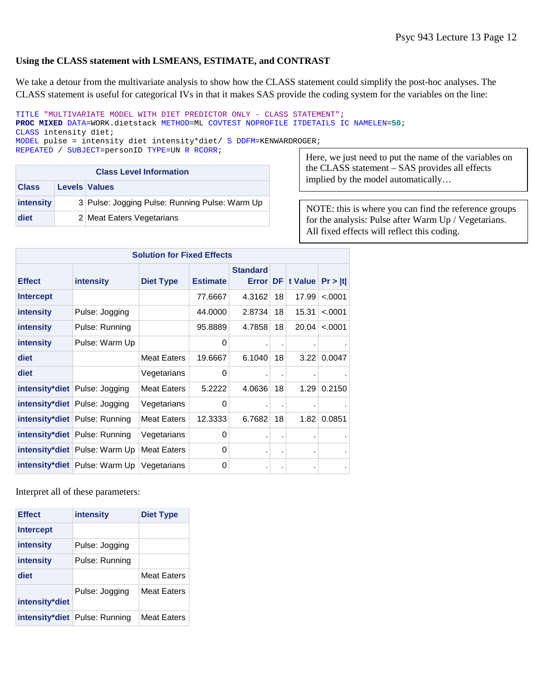### **Using the CLASS statement with LSMEANS, ESTIMATE, and CONTRAST**

We take a detour from the multivariate analysis to show how the CLASS statement could simplify the post-hoc analyses. The CLASS statement is useful for categorical IVs in that it makes SAS provide the coding system for the variables on the line:

TITLE "MULTIVARIATE MODEL WITH DIET PREDICTOR ONLY - CLASS STATEMENT"; **PROC MIXED** DATA=WORK.dietstack METHOD=ML COVTEST NOPROFILE ITDETAILS IC NAMELEN=**50**; CLASS intensity diet; MODEL pulse = intensity diet intensity\*diet/ S DDFM=KENWARDROGER;

|  | REPEATED / SUBJECT=personID TYPE=UN R RCORR; |  |  |  |  |
|--|----------------------------------------------|--|--|--|--|
|--|----------------------------------------------|--|--|--|--|

| <b>Class Level Information</b> |  |                                                |  |  |  |  |
|--------------------------------|--|------------------------------------------------|--|--|--|--|
| <b>Class</b>                   |  | <b>Levels Values</b>                           |  |  |  |  |
| intensity                      |  | 3 Pulse: Jogging Pulse: Running Pulse: Warm Up |  |  |  |  |
| diet                           |  | 2 Meat Eaters Vegetarians                      |  |  |  |  |

Here, we just need to put the name of the variables on the CLASS statement – SAS provides all effects implied by the model automatically…

NOTE: this is where you can find the reference groups for the analysis: Pulse after Warm Up / Vegetarians. All fixed effects will reflect this coding.

|                  | <b>Solution for Fixed Effects</b>    |                    |                 |                                    |    |         |         |  |
|------------------|--------------------------------------|--------------------|-----------------|------------------------------------|----|---------|---------|--|
| <b>Effect</b>    | intensity                            | <b>Diet Type</b>   | <b>Estimate</b> | <b>Standard</b><br><b>Error DF</b> |    | t Value | Pr >  t |  |
| <b>Intercept</b> |                                      |                    | 77.6667         | 4.3162                             | 18 | 17.99   | < .0001 |  |
| <b>intensity</b> | Pulse: Jogging                       |                    | 44.0000         | 2.8734                             | 18 | 15.31   | < .0001 |  |
| intensity        | Pulse: Running                       |                    | 95.8889         | 4.7858                             | 18 | 20.04   | < .0001 |  |
| intensity        | Pulse: Warm Up                       |                    | 0               |                                    |    |         |         |  |
| diet             |                                      | <b>Meat Eaters</b> | 19.6667         | 6.1040                             | 18 | 3.22    | 0.0047  |  |
| diet             |                                      | Vegetarians        | 0               | ٠                                  |    |         |         |  |
|                  | <b>intensity*diet</b> Pulse: Jogging | <b>Meat Eaters</b> | 5.2222          | 4.0636                             | 18 | 1.29    | 0.2150  |  |
|                  | intensity*diet Pulse: Jogging        | Vegetarians        | 0               | ä,                                 |    |         |         |  |
|                  | <b>intensity*diet</b> Pulse: Running | Meat Eaters        | 12.3333         | 6.7682                             | 18 | 1.82    | 0.0851  |  |
|                  | <b>intensity*diet</b> Pulse: Running | Vegetarians        | 0               | ٠                                  |    |         |         |  |
|                  | <b>intensity*diet</b> Pulse: Warm Up | <b>Meat Eaters</b> | 0               | ٠                                  |    |         |         |  |
|                  | <b>intensity*diet</b> Pulse: Warm Up | Vegetarians        | 0               | ٠                                  |    |         |         |  |

Interpret all of these parameters:

| <b>Effect</b>    | intensity                            | <b>Diet Type</b>   |
|------------------|--------------------------------------|--------------------|
| <b>Intercept</b> |                                      |                    |
| intensity        | Pulse: Jogging                       |                    |
| intensity        | Pulse: Running                       |                    |
| diet             |                                      | Meat Eaters        |
| intensity*diet   | Pulse: Jogging                       | Meat Eaters        |
|                  | <b>intensity*diet</b> Pulse: Running | <b>Meat Eaters</b> |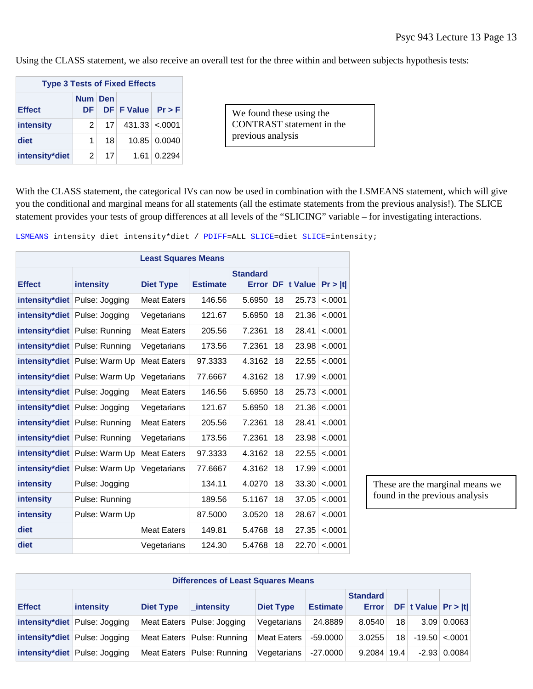Using the CLASS statement, we also receive an overall test for the three within and between subjects hypothesis tests:

| <b>Type 3 Tests of Fixed Effects</b> |                      |                 |                       |              |  |  |  |  |  |
|--------------------------------------|----------------------|-----------------|-----------------------|--------------|--|--|--|--|--|
| <b>Effect</b>                        | Num Den<br><b>DF</b> |                 | $DF$ F Value $Pr$ > F |              |  |  |  |  |  |
| intensity                            | $\mathbf{2}^{\top}$  | 17 <sup>1</sup> | $431.33 \times 0001$  |              |  |  |  |  |  |
| diet                                 | 1                    | 181             |                       | 10.85 0.0040 |  |  |  |  |  |
| intensity*diet                       | 2                    | 17 <sup>1</sup> |                       | 1.61 0.2294  |  |  |  |  |  |

We found these using the CONTRAST statement in the previous analysis

With the CLASS statement, the categorical IVs can now be used in combination with the LSMEANS statement, which will give you the conditional and marginal means for all statements (all the estimate statements from the previous analysis!). The SLICE statement provides your tests of group differences at all levels of the "SLICING" variable – for investigating interactions.

| <b>Least Squares Means</b> |                                      |                    |                 |                                 |    |         |         |  |
|----------------------------|--------------------------------------|--------------------|-----------------|---------------------------------|----|---------|---------|--|
| <b>Effect</b>              | intensity                            | <b>Diet Type</b>   | <b>Estimate</b> | <b>Standard</b><br><b>Error</b> | DF | t Value | Pr >  t |  |
| intensity*diet             | Pulse: Jogging                       | Meat Eaters        | 146.56          | 5.6950                          | 18 | 25.73   | < .0001 |  |
|                            | intensity*diet Pulse: Jogging        | Vegetarians        | 121.67          | 5.6950                          | 18 | 21.36   | < .0001 |  |
|                            | intensity*diet Pulse: Running        | Meat Eaters        | 205.56          | 7.2361                          | 18 | 28.41   | < .0001 |  |
|                            | <b>intensity*diet</b> Pulse: Running | Vegetarians        | 173.56          | 7.2361                          | 18 | 23.98   | < .0001 |  |
|                            | <b>intensity*diet</b> Pulse: Warm Up | <b>Meat Eaters</b> | 97.3333         | 4.3162                          | 18 | 22.55   | < .0001 |  |
|                            | intensity*diet Pulse: Warm Up        | Vegetarians        | 77.6667         | 4.3162                          | 18 | 17.99   | < .0001 |  |
|                            | intensity*diet Pulse: Jogging        | <b>Meat Eaters</b> | 146.56          | 5.6950                          | 18 | 25.73   | < .0001 |  |
|                            | intensity*diet Pulse: Jogging        | Vegetarians        | 121.67          | 5.6950                          | 18 | 21.36   | < .0001 |  |
|                            | <b>intensity*diet</b> Pulse: Running | Meat Eaters        | 205.56          | 7.2361                          | 18 | 28.41   | < .0001 |  |
|                            | <b>intensity*diet</b> Pulse: Running | Vegetarians        | 173.56          | 7.2361                          | 18 | 23.98   | < .0001 |  |
|                            | <b>intensity*diet</b> Pulse: Warm Up | <b>Meat Eaters</b> | 97.3333         | 4.3162                          | 18 | 22.55   | < .0001 |  |
|                            | intensity*diet Pulse: Warm Up        | Vegetarians        | 77.6667         | 4.3162                          | 18 | 17.99   | < .0001 |  |
| <b>intensity</b>           | Pulse: Jogging                       |                    | 134.11          | 4.0270                          | 18 | 33.30   | < .0001 |  |
| intensity                  | Pulse: Running                       |                    | 189.56          | 5.1167                          | 18 | 37.05   | < .0001 |  |
| intensity                  | Pulse: Warm Up                       |                    | 87.5000         | 3.0520                          | 18 | 28.67   | < .0001 |  |
| diet                       |                                      | <b>Meat Eaters</b> | 149.81          | 5.4768                          | 18 | 27.35   | < .0001 |  |
| diet                       |                                      | Vegetarians        | 124.30          | 5.4768                          | 18 | 22.70   | < .0001 |  |

LSMEANS intensity diet intensity\*diet / PDIFF=ALL SLICE=diet SLICE=intensity;

These are the marginal means we found in the previous analysis

| <b>Differences of Least Squares Means</b>                                                                                                                      |                                      |  |                              |                    |            |             |    |  |                         |  |
|----------------------------------------------------------------------------------------------------------------------------------------------------------------|--------------------------------------|--|------------------------------|--------------------|------------|-------------|----|--|-------------------------|--|
| <b>Standard</b><br>DF t Value $Pr >  t $<br><b>Effect</b><br><b>Error</b><br>intensity<br><b>Estimate</b><br><b>Diet Type</b><br>intensity<br><b>Diet Type</b> |                                      |  |                              |                    |            |             |    |  |                         |  |
|                                                                                                                                                                | <b>intensity*diet</b> Pulse: Jogging |  | Meat Eaters   Pulse: Jogging | Vegetarians        | 24.8889    | 8.0540      | 18 |  | $3.09 \mid 0.0063 \mid$ |  |
|                                                                                                                                                                | <b>intensity*diet</b> Pulse: Jogging |  | Meat Eaters   Pulse: Running | <b>Meat Eaters</b> | $-59,0000$ | 3.0255      | 18 |  | $-19.50 < 0001$         |  |
|                                                                                                                                                                | intensity*diet Pulse: Jogging        |  | Meat Eaters   Pulse: Running | Vegetarians        | $-27.0000$ | 9.2084 19.4 |    |  | $-2.93$ 0.0084          |  |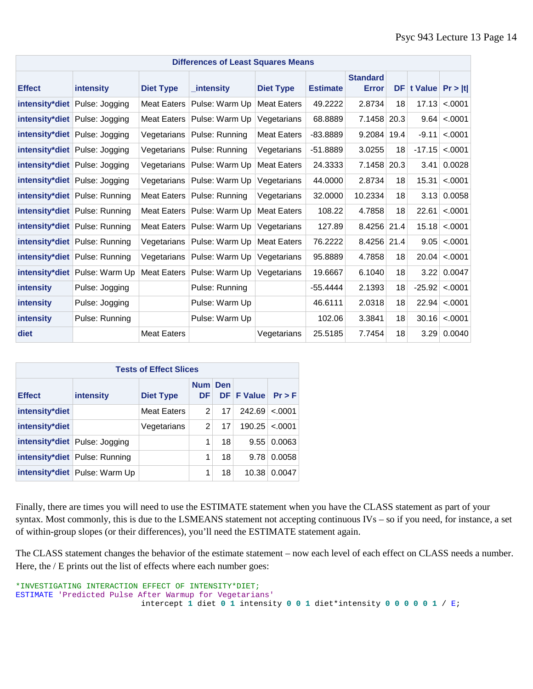| <b>Differences of Least Squares Means</b> |                               |                    |                |                    |                 |                                 |      |                       |                    |
|-------------------------------------------|-------------------------------|--------------------|----------------|--------------------|-----------------|---------------------------------|------|-----------------------|--------------------|
| <b>Effect</b>                             | intensity                     | <b>Diet Type</b>   | intensity      | <b>Diet Type</b>   | <b>Estimate</b> | <b>Standard</b><br><b>Error</b> |      | DF t Value $Pr >  t $ |                    |
|                                           | intensity*diet Pulse: Jogging | <b>Meat Eaters</b> | Pulse: Warm Up | <b>Meat Eaters</b> | 49.2222         | 2.8734                          | 18   | 17.13                 | < .0001            |
|                                           | intensity*diet Pulse: Jogging | <b>Meat Eaters</b> | Pulse: Warm Up | Vegetarians        | 68.8889         | 7.1458                          | 20.3 | 9.64                  | < .0001            |
|                                           | intensity*diet Pulse: Jogging | Vegetarians        | Pulse: Running | <b>Meat Eaters</b> | -83.8889        | 9.2084                          | 19.4 | $-9.11$               | < .0001            |
|                                           | intensity*diet Pulse: Jogging | Vegetarians        | Pulse: Running | Vegetarians        | $-51.8889$      | 3.0255                          | 18   | $-17.15$              | < .0001            |
|                                           | intensity*diet Pulse: Jogging | Vegetarians        | Pulse: Warm Up | <b>Meat Eaters</b> | 24.3333         | 7.1458                          | 20.3 | 3.41                  | 0.0028             |
|                                           | intensity*diet Pulse: Jogging | Vegetarians        | Pulse: Warm Up | Vegetarians        | 44.0000         | 2.8734                          | 18   | 15.31                 | < .0001            |
|                                           | intensity*diet Pulse: Running | <b>Meat Eaters</b> | Pulse: Running | Vegetarians        | 32.0000         | 10.2334                         | 18   | 3.13                  | 0.0058             |
|                                           | intensity*diet Pulse: Running | <b>Meat Eaters</b> | Pulse: Warm Up | <b>Meat Eaters</b> | 108.22          | 4.7858                          | 18   | 22.61                 | < .0001            |
|                                           | intensity*diet Pulse: Running | <b>Meat Eaters</b> | Pulse: Warm Up | Vegetarians        | 127.89          | 8.4256 21.4                     |      | 15.18                 | < .0001            |
|                                           | intensity*diet Pulse: Running | Vegetarians        | Pulse: Warm Up | <b>Meat Eaters</b> | 76.2222         | 8.4256 21.4                     |      | 9.05                  | < .0001            |
|                                           | intensity*diet Pulse: Running | Vegetarians        | Pulse: Warm Up | Vegetarians        | 95.8889         | 4.7858                          | 18   | 20.04                 | < .0001            |
|                                           | intensity*diet Pulse: Warm Up | Meat Eaters        | Pulse: Warm Up | Vegetarians        | 19.6667         | 6.1040                          | 18   |                       | 3.22 0.0047        |
| intensity                                 | Pulse: Jogging                |                    | Pulse: Running |                    | -55.4444        | 2.1393                          | 18   |                       | $-25.92$ <.0001    |
| intensity                                 | Pulse: Jogging                |                    | Pulse: Warm Up |                    | 46.6111         | 2.0318                          | 18   | 22.94                 | < .0001            |
| intensity                                 | Pulse: Running                |                    | Pulse: Warm Up |                    | 102.06          | 3.3841                          | 18   | 30.16                 | < .0001            |
| diet                                      |                               | <b>Meat Eaters</b> |                | Vegetarians        | 25.5185         | 7.7454                          | 18   |                       | $3.29 \mid 0.0040$ |

| <b>Tests of Effect Slices</b> |                                      |                  |                         |            |                   |            |  |  |  |  |  |
|-------------------------------|--------------------------------------|------------------|-------------------------|------------|-------------------|------------|--|--|--|--|--|
| <b>Effect</b>                 | <b>intensity</b>                     | <b>Diet Type</b> | <b>Num</b><br><b>DF</b> | <b>Den</b> | <b>DF F Value</b> | $Pr$ > $F$ |  |  |  |  |  |
| intensity*diet                |                                      | Meat Eaters      | 2                       | 17         | 242.69            | $-.0001$   |  |  |  |  |  |
| intensity*diet                |                                      | Vegetarians      | 2                       | 17         | 190.25            | $-.0001$   |  |  |  |  |  |
|                               | <b>intensity*diet</b> Pulse: Jogging |                  | 1                       | 18         | 9.55              | 0.0063     |  |  |  |  |  |
|                               | <b>intensity*diet</b> Pulse: Running |                  | 1                       | 18         | 9.78              | 0.0058     |  |  |  |  |  |
|                               | <b>intensity*diet</b> Pulse: Warm Up |                  | 1                       | 18         | 10.38             | 0.0047     |  |  |  |  |  |

Finally, there are times you will need to use the ESTIMATE statement when you have the CLASS statement as part of your syntax. Most commonly, this is due to the LSMEANS statement not accepting continuous IVs – so if you need, for instance, a set of within-group slopes (or their differences), you'll need the ESTIMATE statement again.

The CLASS statement changes the behavior of the estimate statement – now each level of each effect on CLASS needs a number. Here, the / E prints out the list of effects where each number goes:

```
*INVESTIGATING INTERACTION EFFECT OF INTENSITY*DIET;
ESTIMATE 'Predicted Pulse After Warmup for Vegetarians' 
                          intercept 1 diet 0 1 intensity 0 0 1 diet*intensity 0 0 0 0 0 1 / E;
```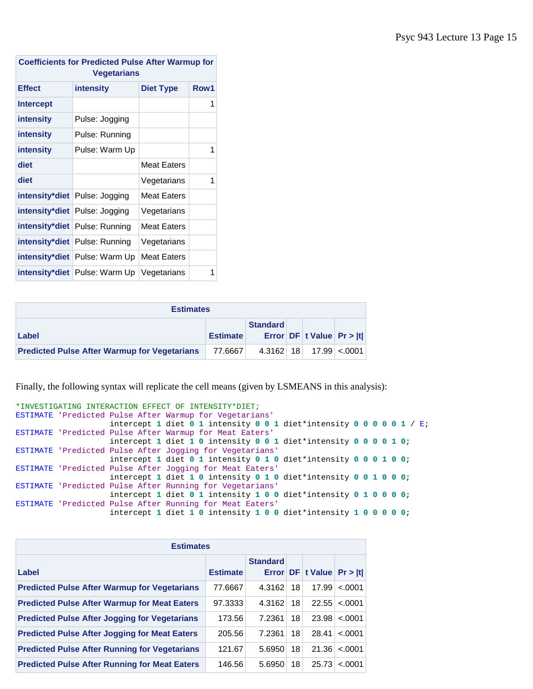| <b>Coefficients for Predicted Pulse After Warmup for</b><br><b>Vegetarians</b> |                                      |                    |   |  |  |  |  |  |
|--------------------------------------------------------------------------------|--------------------------------------|--------------------|---|--|--|--|--|--|
| <b>Effect</b><br>intensity<br><b>Diet Type</b>                                 |                                      |                    |   |  |  |  |  |  |
| <b>Intercept</b>                                                               |                                      |                    | 1 |  |  |  |  |  |
| intensity                                                                      | Pulse: Jogging                       |                    |   |  |  |  |  |  |
| intensity                                                                      | Pulse: Running                       |                    |   |  |  |  |  |  |
| intensity                                                                      | Pulse: Warm Up                       |                    | 1 |  |  |  |  |  |
| diet                                                                           |                                      | Meat Eaters        |   |  |  |  |  |  |
| diet                                                                           |                                      | Vegetarians        | 1 |  |  |  |  |  |
| intensity*diet                                                                 | Pulse: Jogging                       | <b>Meat Eaters</b> |   |  |  |  |  |  |
|                                                                                | <b>intensity*diet</b> Pulse: Jogging | Vegetarians        |   |  |  |  |  |  |
| intensity*diet                                                                 | Pulse: Running                       | <b>Meat Eaters</b> |   |  |  |  |  |  |
|                                                                                | intensity*diet Pulse: Running        | Vegetarians        |   |  |  |  |  |  |
| intensity*diet                                                                 | Pulse: Warm Up                       | <b>Meat Eaters</b> |   |  |  |  |  |  |
| intensity*diet                                                                 | Pulse: Warm Up                       | Vegetarians        | 1 |  |  |  |  |  |

| <b>Estimates</b>                                                             |         |  |  |                          |  |  |  |  |  |
|------------------------------------------------------------------------------|---------|--|--|--------------------------|--|--|--|--|--|
| <b>Standard</b><br>Error $DF$ t Value $Pr >  t $<br><b>Estimate</b><br>Label |         |  |  |                          |  |  |  |  |  |
| <b>Predicted Pulse After Warmup for Vegetarians</b>                          | 77.6667 |  |  | $4.3162$ 18 17.99 < 0001 |  |  |  |  |  |

Finally, the following syntax will replicate the cell means (given by LSMEANS in this analysis):

```
*INVESTIGATING INTERACTION EFFECT OF INTENSITY*DIET;
ESTIMATE 'Predicted Pulse After Warmup for Vegetarians' 
                   intercept 1 diet 0 1 intensity 0 0 1 diet*intensity 0 0 0 0 0 1 / E;
ESTIMATE 'Predicted Pulse After Warmup for Meat Eaters' 
                   intercept 1 diet 1 0 intensity 0 0 1 diet*intensity 0 0 0 0 1 0;
ESTIMATE 'Predicted Pulse After Jogging for Vegetarians'
                    intercept 1 diet 0 1 intensity 0 1 0 diet*intensity 0 0 0 1 0 0;
ESTIMATE 'Predicted Pulse After Jogging for Meat Eaters'
                    intercept 1 diet 1 0 intensity 0 1 0 diet*intensity 0 0 1 0 0 0;
ESTIMATE 'Predicted Pulse After Running for Vegetarians'
                   intercept 1 diet 0 1 intensity 1 0 0 diet*intensity 0 1 0 0 0 0;
ESTIMATE 'Predicted Pulse After Running for Meat Eaters'
                    intercept 1 diet 1 0 intensity 1 0 0 diet*intensity 1 0 0 0 0 0;
```

| <b>Estimates</b>                                     |                 |                 |    |                  |          |  |  |  |  |
|------------------------------------------------------|-----------------|-----------------|----|------------------|----------|--|--|--|--|
| Label                                                | <b>Estimate</b> | <b>Standard</b> |    | Error DF t Value | Pr >  t  |  |  |  |  |
| <b>Predicted Pulse After Warmup for Vegetarians</b>  | 77.6667         | 4.3162          | 18 | 17.99            | $-.0001$ |  |  |  |  |
| <b>Predicted Pulse After Warmup for Meat Eaters</b>  | 97.3333         | 4.3162          | 18 | 22.55            | < .0001  |  |  |  |  |
| <b>Predicted Pulse After Jogging for Vegetarians</b> | 173.56          | 7.2361          | 18 | 23.98            | < .0001  |  |  |  |  |
| <b>Predicted Pulse After Jogging for Meat Eaters</b> | 205.56          | 7.2361          | 18 | 28.41            | $-.0001$ |  |  |  |  |
| <b>Predicted Pulse After Running for Vegetarians</b> | 121.67          | 5.6950          | 18 | 21.36            | < .0001  |  |  |  |  |
| <b>Predicted Pulse After Running for Meat Eaters</b> | 146.56          | 5.6950          | 18 | 25.73            | < .0001  |  |  |  |  |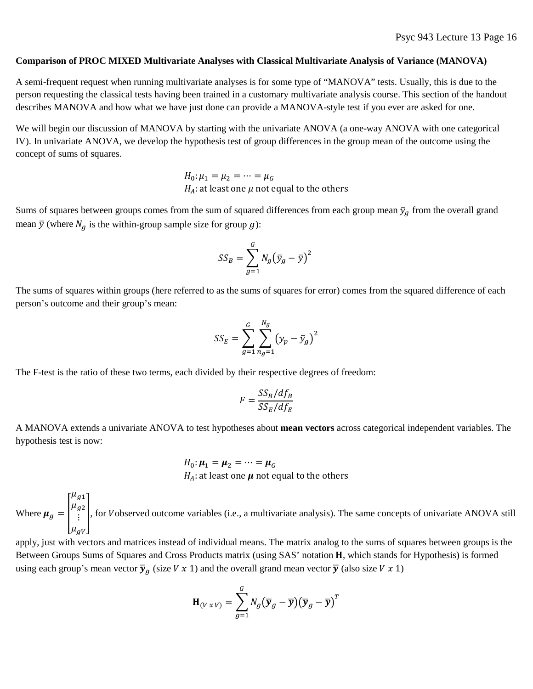#### **Comparison of PROC MIXED Multivariate Analyses with Classical Multivariate Analysis of Variance (MANOVA)**

A semi-frequent request when running multivariate analyses is for some type of "MANOVA" tests. Usually, this is due to the person requesting the classical tests having been trained in a customary multivariate analysis course. This section of the handout describes MANOVA and how what we have just done can provide a MANOVA-style test if you ever are asked for one.

We will begin our discussion of MANOVA by starting with the univariate ANOVA (a one-way ANOVA with one categorical IV). In univariate ANOVA, we develop the hypothesis test of group differences in the group mean of the outcome using the concept of sums of squares.

> $H_0: \mu_1 = \mu_2 = \cdots = \mu_G$  $H_A$ : at least one  $\mu$  not equal to the others

Sums of squares between groups comes from the sum of squared differences from each group mean  $\bar{y}_g$  from the overall grand mean  $\bar{y}$  (where  $N_q$  is the within-group sample size for group g):

$$
SS_B = \sum_{g=1}^{G} N_g (\bar{y}_g - \bar{y})^2
$$

The sums of squares within groups (here referred to as the sums of squares for error) comes from the squared difference of each person's outcome and their group's mean:

$$
SS_E = \sum_{g=1}^{G} \sum_{n_g=1}^{N_g} (y_p - \bar{y}_g)^2
$$

The F-test is the ratio of these two terms, each divided by their respective degrees of freedom:

$$
F = \frac{SS_B/df_B}{SS_E/df_E}
$$

A MANOVA extends a univariate ANOVA to test hypotheses about **mean vectors** across categorical independent variables. The hypothesis test is now:

$$
H_0: \mu_1 = \mu_2 = \dots = \mu_G
$$
  

$$
H_A: \text{at least one } \mu \text{ not equal to the others}
$$

Where  $\mu_g = |$  $\mu_{g1}$  $\mu_{g2}$  $\left(\begin{array}{c} \frac{b}{s^2} \\ \frac{c}{s} \end{array}\right)$ , for Vobserved outcome variables (i.e., a multivariate analysis). The same concepts of univariate ANOVA still  $\mu_{gV}$ 

apply, just with vectors and matrices instead of individual means. The matrix analog to the sums of squares between groups is the Between Groups Sums of Squares and Cross Products matrix (using SAS' notation H, which stands for Hypothesis) is formed using each group's mean vector  $\bar{y}_g$  (size V x 1) and the overall grand mean vector  $\bar{y}$  (also size V x 1)

$$
\mathbf{H}_{(V \times V)} = \sum_{g=1}^{G} N_g (\overline{\mathbf{y}}_g - \overline{\mathbf{y}}) (\overline{\mathbf{y}}_g - \overline{\mathbf{y}})^T
$$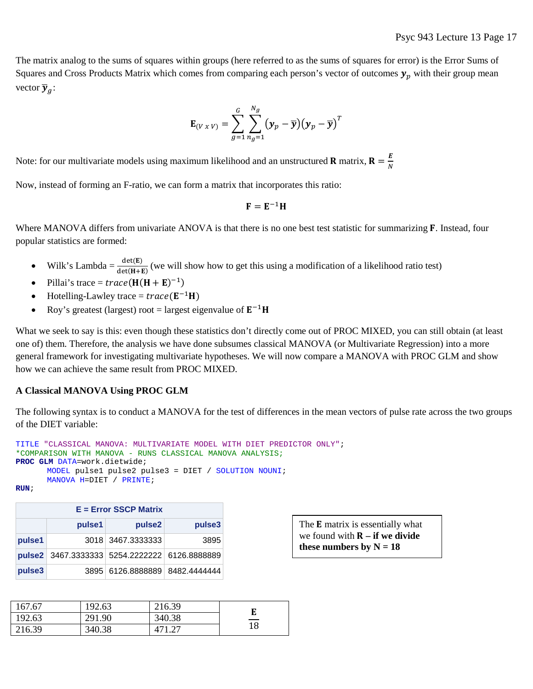The matrix analog to the sums of squares within groups (here referred to as the sums of squares for error) is the Error Sums of Squares and Cross Products Matrix which comes from comparing each person's vector of outcomes  $y_n$  with their group mean vector  $\overline{y}_a$ :

$$
\mathbf{E}_{(V \times V)} = \sum_{g=1}^{G} \sum_{n_g=1}^{N_g} (\mathbf{y}_p - \overline{\mathbf{y}}) (\mathbf{y}_p - \overline{\mathbf{y}})^T
$$

Note: for our multivariate models using maximum likelihood and an unstructured **R** matrix,  $\mathbf{R} = \frac{E}{N}$ 

Now, instead of forming an F-ratio, we can form a matrix that incorporates this ratio:

$$
\mathbf{F} = \mathbf{E}^{-1} \mathbf{H}
$$

Where MANOVA differs from univariate ANOVA is that there is no one best test statistic for summarizing  $\bf{F}$ . Instead, four popular statistics are formed:

- Wilk's Lambda =  $\frac{\det(E)}{\det(H+E)}$  (we will show how to get this using a modification of a likelihood ratio test)
- Pillai's trace =  $trace(H(H + E)^{-1})$
- Hotelling-Lawley trace =  $trace(\mathbf{E}^{-1}\mathbf{H})$
- Roy's greatest (largest) root = largest eigenvalue of  $E^{-1}H$

What we seek to say is this: even though these statistics don't directly come out of PROC MIXED, you can still obtain (at least one of) them. Therefore, the analysis we have done subsumes classical MANOVA (or Multivariate Regression) into a more general framework for investigating multivariate hypotheses. We will now compare a MANOVA with PROC GLM and show how we can achieve the same result from PROC MIXED.

## **A Classical MANOVA Using PROC GLM**

The following syntax is to conduct a MANOVA for the test of differences in the mean vectors of pulse rate across the two groups of the DIET variable:

```
TITLE "CLASSICAL MANOVA: MULTIVARIATE MODEL WITH DIET PREDICTOR ONLY";
*COMPARISON WITH MANOVA - RUNS CLASSICAL MANOVA ANALYSIS;
PROC GLM DATA=work.dietwide;
      MODEL pulse1 pulse2 pulse3 = DIET / SOLUTION NOUNI;
      MANOVA H=DIET / PRINTE;
RUN;
```

| $E =$ Error SSCP Matrix |        |                                               |      |  |  |  |  |  |
|-------------------------|--------|-----------------------------------------------|------|--|--|--|--|--|
|                         | pulse1 | pulse3                                        |      |  |  |  |  |  |
| pulse1                  |        | 3018 3467.3333333                             | 3895 |  |  |  |  |  |
|                         |        | pulse2 3467.3333333 5254.2222222 6126.8888889 |      |  |  |  |  |  |
| pulse3                  |        | 3895 6126.8888889 8482.4444444                |      |  |  |  |  |  |

| 167.67 | 192.63 | 216.39 |      |
|--------|--------|--------|------|
| 192.63 | 291.90 | 340.38 | ____ |
| 216.39 | 340.38 |        | 18   |

The **E** matrix is essentially what we found with  $R - if$  we divide these numbers by  $N = 18$